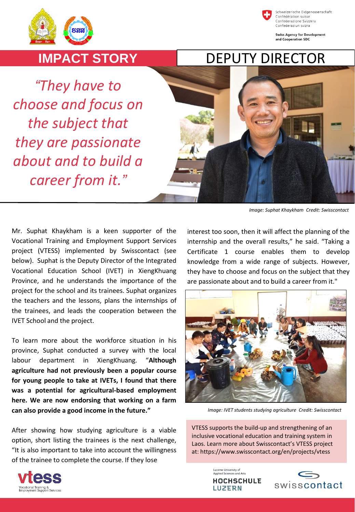



Schweizerische Eidgenossenschaft Confédération suisse Confederazione Svizzera Confederaziun svizra

**Swiss Agency for Development** and Cooperation SDC

## **IMPACT STORY**

*"They have to choose and focus on the subject that they are passionate about and to build a career from it."*



*Image: Suphat Khaykham Credit: Swisscontact*

Mr. Suphat Khaykham is a keen supporter of the Vocational Training and Employment Support Services project (VTESS) implemented by Swisscontact (see below). Suphat is the Deputy Director of the Integrated Vocational Education School (IVET) in XiengKhuang Province, and he understands the importance of the project for the school and its trainees. Suphat organizes the teachers and the lessons, plans the internships of the trainees, and leads the cooperation between the IVET School and the project.

To learn more about the workforce situation in his province, Suphat conducted a survey with the local labour department in XiengKhuang. "**Although agriculture had not previously been a popular course for young people to take at IVETs, I found that there was a potential for agricultural-based employment here. We are now endorsing that working on a farm can also provide a good income in the future."**

After showing how studying agriculture is a viable option, short listing the trainees is the next challenge, "It is also important to take into account the willingness of the trainee to complete the course. If they lose

interest too soon, then it will affect the planning of the internship and the overall results," he said. "Taking a Certificate 1 course enables them to develop knowledge from a wide range of subjects. However, they have to choose and focus on the subject that they are passionate about and to build a career from it."



*Image: IVET students studying agriculture Credit: Swisscontact*

VTESS supports the build-up and strengthening of an inclusive vocational education and training system in Laos. Learn more about Swisscontact's VTESS project at: https://www.swisscontact.org/en/projects/vtess

> Lucerne University of<br>Applied Sciences and Arts **HOCHSCHULE**

**LUZERN**